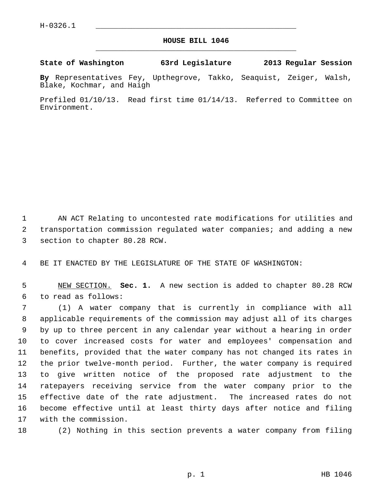## **HOUSE BILL 1046** \_\_\_\_\_\_\_\_\_\_\_\_\_\_\_\_\_\_\_\_\_\_\_\_\_\_\_\_\_\_\_\_\_\_\_\_\_\_\_\_\_\_\_\_\_

## **State of Washington 63rd Legislature 2013 Regular Session**

**By** Representatives Fey, Upthegrove, Takko, Seaquist, Zeiger, Walsh, Blake, Kochmar, and Haigh

Prefiled 01/10/13. Read first time 01/14/13. Referred to Committee on Environment.

 1 AN ACT Relating to uncontested rate modifications for utilities and 2 transportation commission regulated water companies; and adding a new 3 section to chapter 80.28 RCW.

4 BE IT ENACTED BY THE LEGISLATURE OF THE STATE OF WASHINGTON:

 5 NEW SECTION. **Sec. 1.** A new section is added to chapter 80.28 RCW 6 to read as follows:

 7 (1) A water company that is currently in compliance with all 8 applicable requirements of the commission may adjust all of its charges 9 by up to three percent in any calendar year without a hearing in order 10 to cover increased costs for water and employees' compensation and 11 benefits, provided that the water company has not changed its rates in 12 the prior twelve-month period. Further, the water company is required 13 to give written notice of the proposed rate adjustment to the 14 ratepayers receiving service from the water company prior to the 15 effective date of the rate adjustment. The increased rates do not 16 become effective until at least thirty days after notice and filing 17 with the commission.

18 (2) Nothing in this section prevents a water company from filing